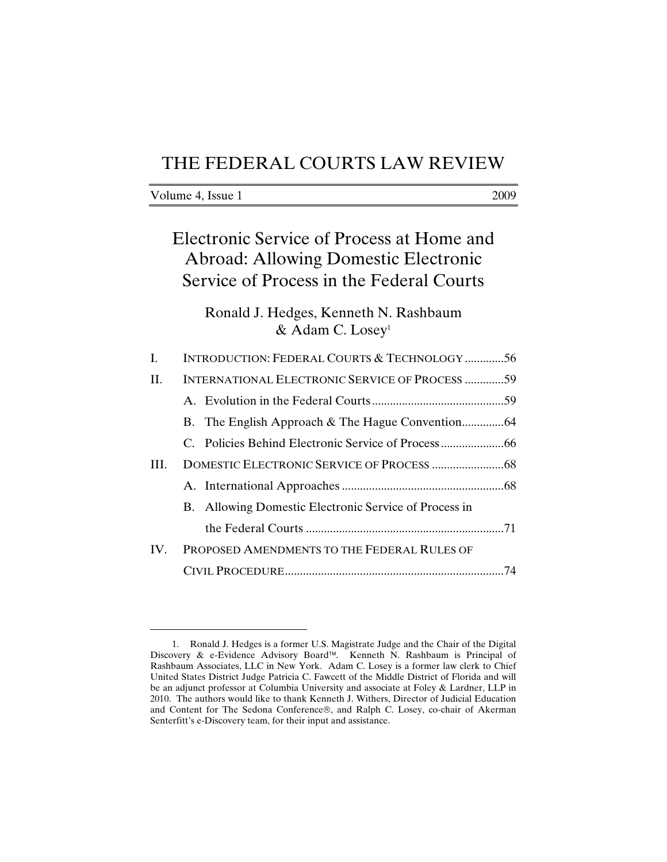## THE FEDERAL COURTS LAW REVIEW

| Volume 4, Issue 1 | 2009 |
|-------------------|------|
|                   |      |

# Electronic Service of Process at Home and Abroad: Allowing Domestic Electronic Service of Process in the Federal Courts

### Ronald J. Hedges, Kenneth N. Rashbaum & Adam C. Losey<sup>1</sup>

| I.  | <b>INTRODUCTION: FEDERAL COURTS &amp; TECHNOLOGY56</b> |  |
|-----|--------------------------------------------------------|--|
| H.  | <b>INTERNATIONAL ELECTRONIC SERVICE OF PROCESS 59</b>  |  |
|     |                                                        |  |
|     |                                                        |  |
|     |                                                        |  |
| Ш.  |                                                        |  |
|     |                                                        |  |
|     | B. Allowing Domestic Electronic Service of Process in  |  |
|     |                                                        |  |
| IV. | PROPOSED AMENDMENTS TO THE FEDERAL RULES OF            |  |
|     |                                                        |  |

<sup>1.</sup> Ronald J. Hedges is a former U.S. Magistrate Judge and the Chair of the Digital Discovery & e-Evidence Advisory Board™. Kenneth N. Rashbaum is Principal of Rashbaum Associates, LLC in New York. Adam C. Losey is a former law clerk to Chief United States District Judge Patricia C. Fawcett of the Middle District of Florida and will be an adjunct professor at Columbia University and associate at Foley & Lardner, LLP in 2010. The authors would like to thank Kenneth J. Withers, Director of Judicial Education and Content for The Sedona Conference®, and Ralph C. Losey, co-chair of Akerman Senterfitt's e-Discovery team, for their input and assistance.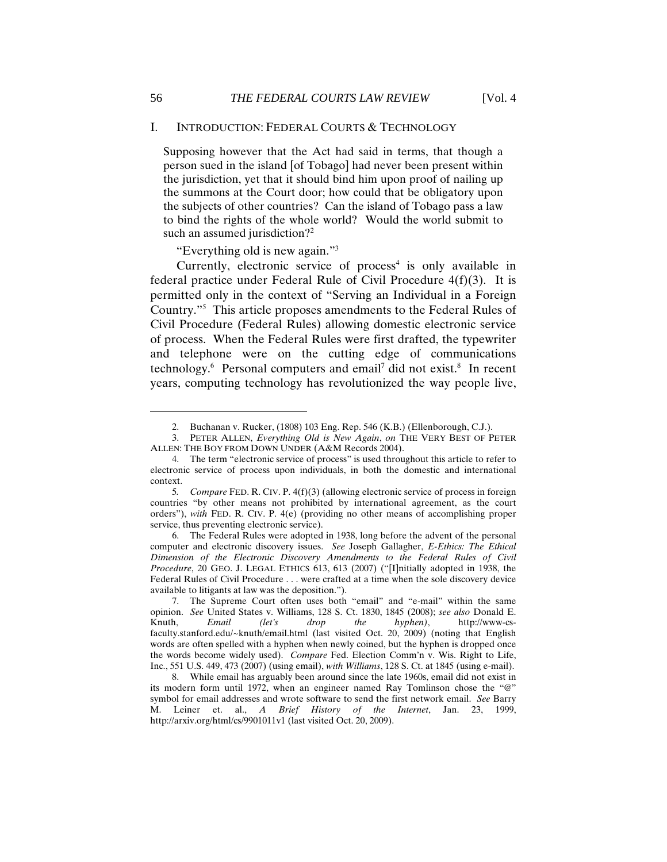#### I. INTRODUCTION: FEDERAL COURTS & TECHNOLOGY

Supposing however that the Act had said in terms, that though a person sued in the island [of Tobago] had never been present within the jurisdiction, yet that it should bind him upon proof of nailing up the summons at the Court door; how could that be obligatory upon the subjects of other countries? Can the island of Tobago pass a law to bind the rights of the whole world? Would the world submit to such an assumed jurisdiction?<sup>2</sup>

"Everything old is new again."3

Currently, electronic service of  $process<sup>4</sup>$  is only available in federal practice under Federal Rule of Civil Procedure 4(f)(3). It is permitted only in the context of "Serving an Individual in a Foreign Country."5 This article proposes amendments to the Federal Rules of Civil Procedure (Federal Rules) allowing domestic electronic service of process. When the Federal Rules were first drafted, the typewriter and telephone were on the cutting edge of communications technology.<sup>6</sup> Personal computers and email<sup>7</sup> did not exist.<sup>8</sup> In recent years, computing technology has revolutionized the way people live,

6. The Federal Rules were adopted in 1938, long before the advent of the personal computer and electronic discovery issues. *See* Joseph Gallagher, *E-Ethics: The Ethical Dimension of the Electronic Discovery Amendments to the Federal Rules of Civil Procedure*, 20 GEO. J. LEGAL ETHICS 613, 613 (2007) ("[I]nitially adopted in 1938, the Federal Rules of Civil Procedure . . . were crafted at a time when the sole discovery device available to litigants at law was the deposition.").

<sup>2.</sup> Buchanan v. Rucker, (1808) 103 Eng. Rep. 546 (K.B.) (Ellenborough, C.J.).

<sup>3.</sup> PETER ALLEN, *Everything Old is New Again*, *on* THE VERY BEST OF PETER ALLEN: THE BOY FROM DOWN UNDER (A&M Records 2004).

<sup>4.</sup> The term "electronic service of process" is used throughout this article to refer to electronic service of process upon individuals, in both the domestic and international context.

<sup>5</sup>*. Compare* FED. R. CIV. P. 4(f)(3) (allowing electronic service of process in foreign countries "by other means not prohibited by international agreement, as the court orders"), *with* FED. R. CIV. P. 4(e) (providing no other means of accomplishing proper service, thus preventing electronic service).

<sup>7.</sup> The Supreme Court often uses both "email" and "e-mail" within the same opinion. *See* United States v. Williams, 128 S. Ct. 1830, 1845 (2008); *see also* Donald E. Knuth, *Email (let's drop the hyphen)*, http://www-csfaculty.stanford.edu/~knuth/email.html (last visited Oct. 20, 2009) (noting that English words are often spelled with a hyphen when newly coined, but the hyphen is dropped once the words become widely used). *Compare* Fed. Election Comm'n v. Wis. Right to Life, Inc., 551 U.S. 449, 473 (2007) (using email), *with Williams*, 128 S. Ct. at 1845 (using e-mail).

<sup>8.</sup> While email has arguably been around since the late 1960s, email did not exist in its modern form until 1972, when an engineer named Ray Tomlinson chose the "@" symbol for email addresses and wrote software to send the first network email. *See* Barry M. Leiner et. al., *A Brief History of the Internet*, Jan. 23, 1999, http://arxiv.org/html/cs/9901011v1 (last visited Oct. 20, 2009).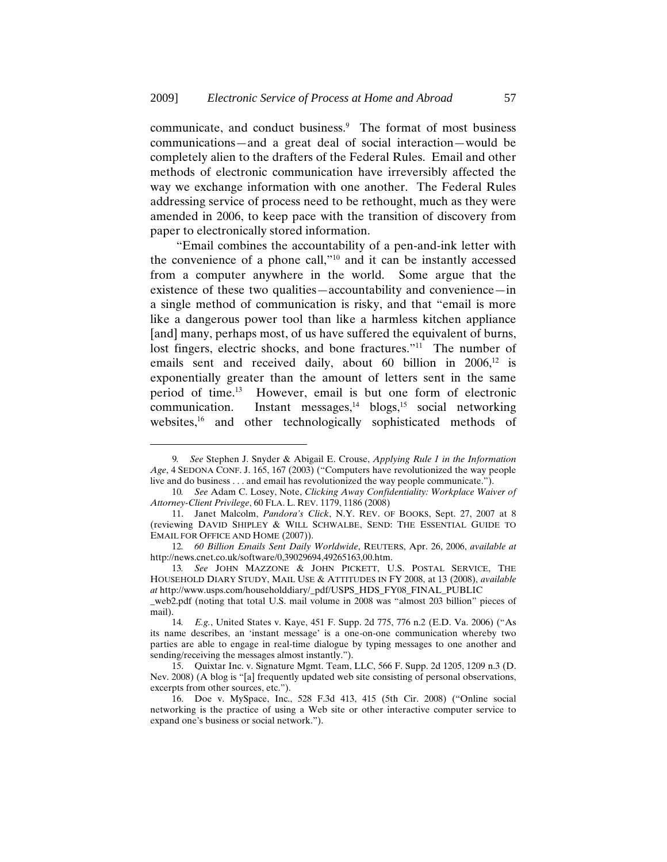communicate, and conduct business.<sup>9</sup> The format of most business communications—and a great deal of social interaction—would be completely alien to the drafters of the Federal Rules. Email and other methods of electronic communication have irreversibly affected the way we exchange information with one another. The Federal Rules addressing service of process need to be rethought, much as they were amended in 2006, to keep pace with the transition of discovery from paper to electronically stored information.

"Email combines the accountability of a pen-and-ink letter with the convenience of a phone call,"10 and it can be instantly accessed from a computer anywhere in the world. Some argue that the existence of these two qualities—accountability and convenience—in a single method of communication is risky, and that "email is more like a dangerous power tool than like a harmless kitchen appliance [and] many, perhaps most, of us have suffered the equivalent of burns, lost fingers, electric shocks, and bone fractures."<sup>11</sup> The number of emails sent and received daily, about 60 billion in  $2006$ ,<sup>12</sup> is exponentially greater than the amount of letters sent in the same period of time.13 However, email is but one form of electronic communication. Instant messages, $^{14}$  blogs, $^{15}$  social networking websites,<sup>16</sup> and other technologically sophisticated methods of

 $\overline{a}$ 

\_web2.pdf (noting that total U.S. mail volume in 2008 was "almost 203 billion" pieces of mail).

<sup>9</sup>*. See* Stephen J. Snyder & Abigail E. Crouse, *Applying Rule 1 in the Information Age*, 4 SEDONA CONF. J. 165, 167 (2003) ("Computers have revolutionized the way people live and do business . . . and email has revolutionized the way people communicate.").

<sup>10</sup>*. See* Adam C. Losey, Note, *Clicking Away Confidentiality: Workplace Waiver of Attorney-Client Privilege*, 60 FLA. L. REV. 1179, 1186 (2008)

<sup>11.</sup> Janet Malcolm, *Pandora's Click*, N.Y. REV. OF BOOKS, Sept. 27, 2007 at 8 (reviewing DAVID SHIPLEY & WILL SCHWALBE, SEND: THE ESSENTIAL GUIDE TO EMAIL FOR OFFICE AND HOME (2007)).

<sup>12</sup>*. 60 Billion Emails Sent Daily Worldwide*, REUTERS, Apr. 26, 2006, *available at*  http://news.cnet.co.uk/software/0,39029694,49265163,00.htm.

<sup>13</sup>*. See* JOHN MAZZONE & JOHN PICKETT, U.S. POSTAL SERVICE, THE HOUSEHOLD DIARY STUDY, MAIL USE & ATTITUDES IN FY 2008, at 13 (2008), *available at* http://www.usps.com/householddiary/\_pdf/USPS\_HDS\_FY08\_FINAL\_PUBLIC

<sup>14</sup>*. E.g.*, United States v. Kaye, 451 F. Supp. 2d 775, 776 n.2 (E.D. Va. 2006) ("As its name describes, an 'instant message' is a one-on-one communication whereby two parties are able to engage in real-time dialogue by typing messages to one another and sending/receiving the messages almost instantly.").

<sup>15.</sup> Quixtar Inc. v. Signature Mgmt. Team, LLC, 566 F. Supp. 2d 1205, 1209 n.3 (D. Nev. 2008) (A blog is "[a] frequently updated web site consisting of personal observations, excerpts from other sources, etc.").

<sup>16.</sup> Doe v. MySpace, Inc., 528 F.3d 413, 415 (5th Cir. 2008) ("Online social networking is the practice of using a Web site or other interactive computer service to expand one's business or social network.").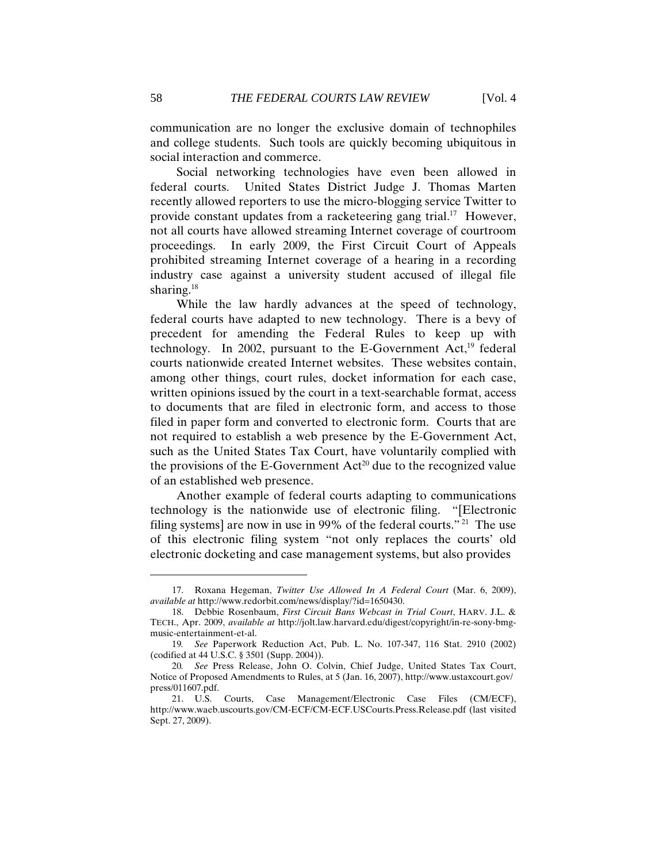communication are no longer the exclusive domain of technophiles and college students. Such tools are quickly becoming ubiquitous in social interaction and commerce.

Social networking technologies have even been allowed in federal courts. United States District Judge J. Thomas Marten recently allowed reporters to use the micro-blogging service Twitter to provide constant updates from a racketeering gang trial.17 However, not all courts have allowed streaming Internet coverage of courtroom proceedings. In early 2009, the First Circuit Court of Appeals prohibited streaming Internet coverage of a hearing in a recording industry case against a university student accused of illegal file sharing.<sup>18</sup>

While the law hardly advances at the speed of technology, federal courts have adapted to new technology. There is a bevy of precedent for amending the Federal Rules to keep up with technology. In 2002, pursuant to the E-Government Act, $^{19}$  federal courts nationwide created Internet websites. These websites contain, among other things, court rules, docket information for each case, written opinions issued by the court in a text-searchable format, access to documents that are filed in electronic form, and access to those filed in paper form and converted to electronic form. Courts that are not required to establish a web presence by the E-Government Act, such as the United States Tax Court, have voluntarily complied with the provisions of the E-Government  $Act^{20}$  due to the recognized value of an established web presence.

Another example of federal courts adapting to communications technology is the nationwide use of electronic filing. "[Electronic filing systems] are now in use in 99% of the federal courts." 21 The use of this electronic filing system "not only replaces the courts' old electronic docketing and case management systems, but also provides

<sup>17.</sup> Roxana Hegeman, *Twitter Use Allowed In A Federal Court* (Mar. 6, 2009), *available at* http://www.redorbit.com/news/display/?id=1650430.

<sup>18.</sup> Debbie Rosenbaum, *First Circuit Bans Webcast in Trial Court*, HARV. J.L. & TECH., Apr. 2009, *available at* http://jolt.law.harvard.edu/digest/copyright/in-re-sony-bmgmusic-entertainment-et-al.

<sup>19</sup>*. See* Paperwork Reduction Act, Pub. L. No. 107-347, 116 Stat. 2910 (2002) (codified at 44 U.S.C. § 3501 (Supp. 2004)).

<sup>20</sup>*. See* Press Release, John O. Colvin, Chief Judge, United States Tax Court, Notice of Proposed Amendments to Rules, at 5 (Jan. 16, 2007), http://www.ustaxcourt.gov/ press/011607.pdf.

<sup>21.</sup> U.S. Courts, Case Management/Electronic Case Files (CM/ECF), http://www.waeb.uscourts.gov/CM-ECF/CM-ECF.USCourts.Press.Release.pdf (last visited Sept. 27, 2009).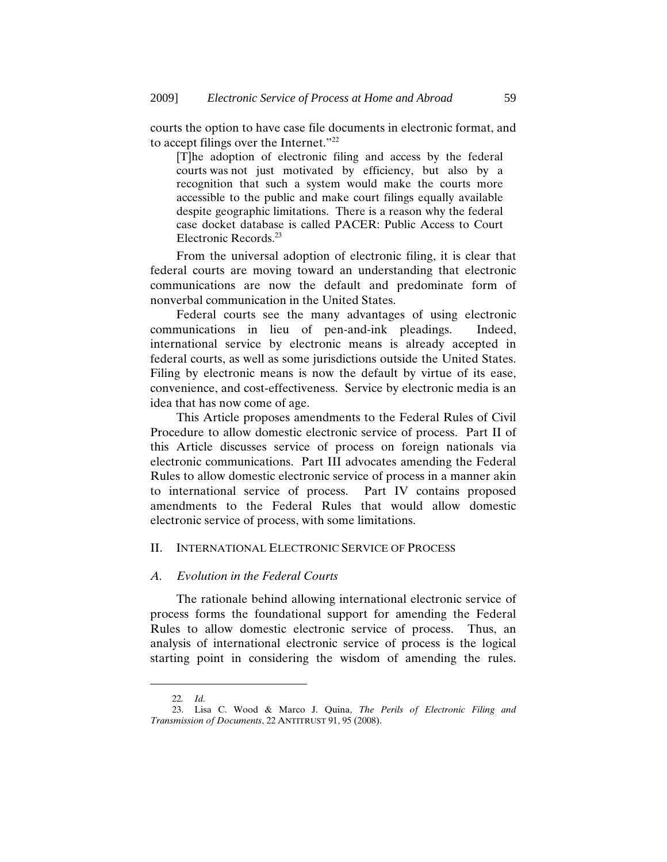courts the option to have case file documents in electronic format, and to accept filings over the Internet."22

[T]he adoption of electronic filing and access by the federal courts was not just motivated by efficiency, but also by a recognition that such a system would make the courts more accessible to the public and make court filings equally available despite geographic limitations. There is a reason why the federal case docket database is called PACER: Public Access to Court Electronic Records.23

From the universal adoption of electronic filing, it is clear that federal courts are moving toward an understanding that electronic communications are now the default and predominate form of nonverbal communication in the United States.

Federal courts see the many advantages of using electronic communications in lieu of pen-and-ink pleadings. Indeed, international service by electronic means is already accepted in federal courts, as well as some jurisdictions outside the United States. Filing by electronic means is now the default by virtue of its ease, convenience, and cost-effectiveness. Service by electronic media is an idea that has now come of age.

This Article proposes amendments to the Federal Rules of Civil Procedure to allow domestic electronic service of process. Part II of this Article discusses service of process on foreign nationals via electronic communications. Part III advocates amending the Federal Rules to allow domestic electronic service of process in a manner akin to international service of process. Part IV contains proposed amendments to the Federal Rules that would allow domestic electronic service of process, with some limitations.

#### II. INTERNATIONAL ELECTRONIC SERVICE OF PROCESS

#### *A. Evolution in the Federal Courts*

The rationale behind allowing international electronic service of process forms the foundational support for amending the Federal Rules to allow domestic electronic service of process. Thus, an analysis of international electronic service of process is the logical starting point in considering the wisdom of amending the rules.

<sup>22</sup>*. Id.*

<sup>23.</sup> Lisa C. Wood & Marco J. Quina, *The Perils of Electronic Filing and Transmission of Documents*, 22 ANTITRUST 91, 95 (2008).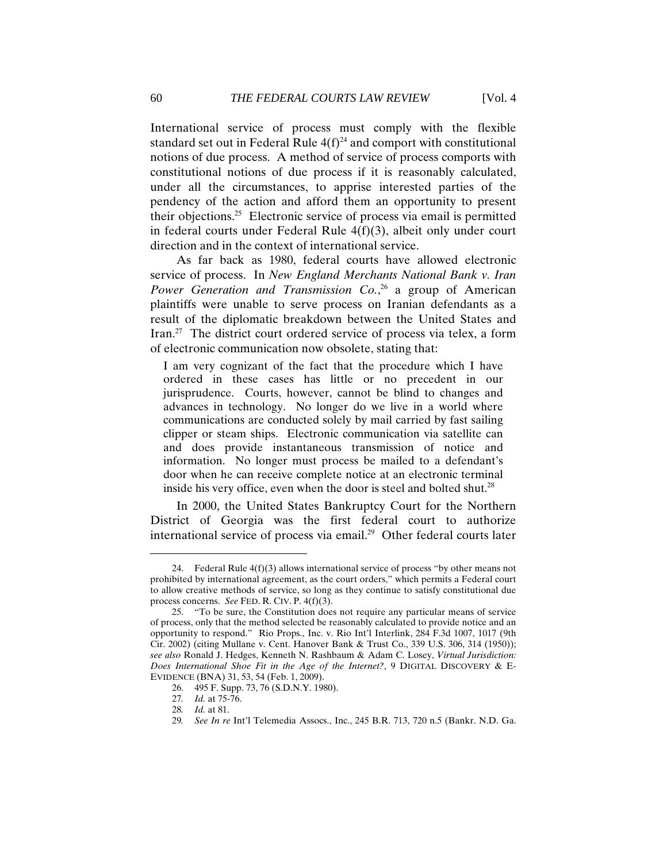International service of process must comply with the flexible standard set out in Federal Rule  $4(f)^{24}$  and comport with constitutional notions of due process. A method of service of process comports with constitutional notions of due process if it is reasonably calculated, under all the circumstances, to apprise interested parties of the pendency of the action and afford them an opportunity to present their objections.25 Electronic service of process via email is permitted in federal courts under Federal Rule 4(f)(3), albeit only under court direction and in the context of international service.

As far back as 1980, federal courts have allowed electronic service of process. In *New England Merchants National Bank v. Iran*  Power Generation and Transmission Co.,<sup>26</sup> a group of American plaintiffs were unable to serve process on Iranian defendants as a result of the diplomatic breakdown between the United States and Iran.27 The district court ordered service of process via telex, a form of electronic communication now obsolete, stating that:

I am very cognizant of the fact that the procedure which I have ordered in these cases has little or no precedent in our jurisprudence. Courts, however, cannot be blind to changes and advances in technology. No longer do we live in a world where communications are conducted solely by mail carried by fast sailing clipper or steam ships. Electronic communication via satellite can and does provide instantaneous transmission of notice and information. No longer must process be mailed to a defendant's door when he can receive complete notice at an electronic terminal inside his very office, even when the door is steel and bolted shut.<sup>28</sup>

In 2000, the United States Bankruptcy Court for the Northern District of Georgia was the first federal court to authorize international service of process via email.29 Other federal courts later

<sup>24.</sup> Federal Rule  $4(f)(3)$  allows international service of process "by other means not prohibited by international agreement, as the court orders," which permits a Federal court to allow creative methods of service, so long as they continue to satisfy constitutional due process concerns. *See* FED. R. CIV. P. 4(f)(3).

<sup>25. &</sup>quot;To be sure, the Constitution does not require any particular means of service of process, only that the method selected be reasonably calculated to provide notice and an opportunity to respond." Rio Props., Inc. v. Rio Int'l Interlink, 284 F.3d 1007, 1017 (9th Cir. 2002) (citing Mullane v. Cent. Hanover Bank & Trust Co., 339 U.S. 306, 314 (1950)); *see also* Ronald J. Hedges, Kenneth N. Rashbaum & Adam C. Losey, *Virtual Jurisdiction: Does International Shoe Fit in the Age of the Internet?*, 9 DIGITAL DISCOVERY & E-EVIDENCE (BNA) 31, 53, 54 (Feb. 1, 2009).

<sup>26. 495</sup> F. Supp. 73, 76 (S.D.N.Y. 1980).

<sup>27</sup>*. Id.* at 75-76.

<sup>28</sup>*. Id.* at 81.

<sup>29</sup>*. See In re* Int'l Telemedia Assocs., Inc., 245 B.R. 713, 720 n.5 (Bankr. N.D. Ga.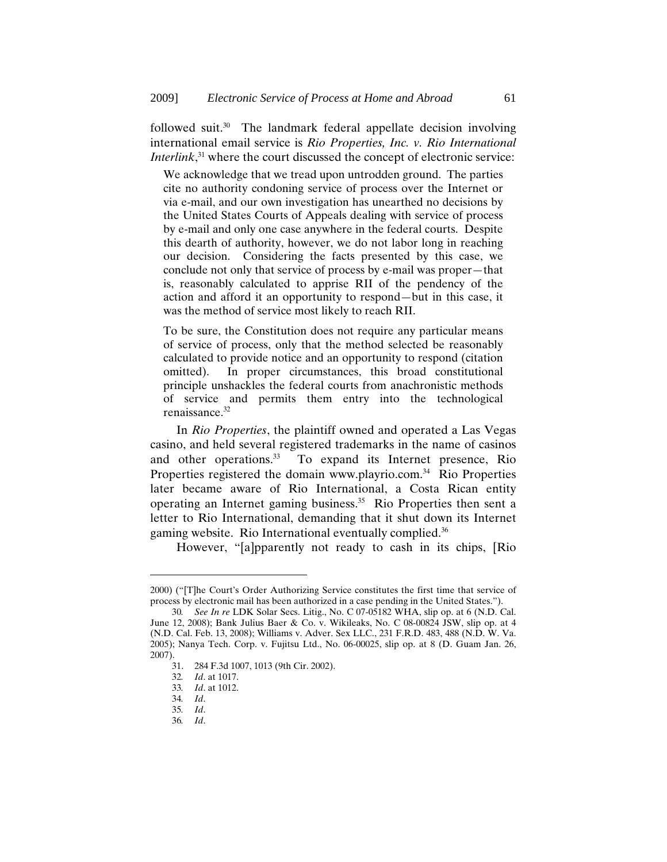followed suit.30 The landmark federal appellate decision involving international email service is *Rio Properties, Inc. v. Rio International Interlink*<sup>31</sup>, where the court discussed the concept of electronic service:

We acknowledge that we tread upon untrodden ground. The parties cite no authority condoning service of process over the Internet or via e-mail, and our own investigation has unearthed no decisions by the United States Courts of Appeals dealing with service of process by e-mail and only one case anywhere in the federal courts. Despite this dearth of authority, however, we do not labor long in reaching our decision. Considering the facts presented by this case, we conclude not only that service of process by e-mail was proper—that is, reasonably calculated to apprise RII of the pendency of the action and afford it an opportunity to respond—but in this case, it was the method of service most likely to reach RII.

To be sure, the Constitution does not require any particular means of service of process, only that the method selected be reasonably calculated to provide notice and an opportunity to respond (citation omitted). In proper circumstances, this broad constitutional principle unshackles the federal courts from anachronistic methods of service and permits them entry into the technological renaissance.32

In *Rio Properties*, the plaintiff owned and operated a Las Vegas casino, and held several registered trademarks in the name of casinos and other operations.<sup>33</sup> To expand its Internet presence, Rio Properties registered the domain www.playrio.com.<sup>34</sup> Rio Properties later became aware of Rio International, a Costa Rican entity operating an Internet gaming business.35 Rio Properties then sent a letter to Rio International, demanding that it shut down its Internet gaming website. Rio International eventually complied.36

However, "[a]pparently not ready to cash in its chips, [Rio

<sup>2000) (&</sup>quot;[T]he Court's Order Authorizing Service constitutes the first time that service of process by electronic mail has been authorized in a case pending in the United States.").

<sup>30</sup>*. See In re* LDK Solar Secs. Litig., No. C 07-05182 WHA, slip op. at 6 (N.D. Cal. June 12, 2008); Bank Julius Baer & Co. v. Wikileaks, No. C 08-00824 JSW, slip op. at 4 (N.D. Cal. Feb. 13, 2008); Williams v. Adver. Sex LLC., 231 F.R.D. 483, 488 (N.D. W. Va. 2005); Nanya Tech. Corp. v. Fujitsu Ltd., No. 06-00025, slip op. at 8 (D. Guam Jan. 26,  $2007$ ).<br>31.

<sup>31. 284</sup> F.3d 1007, 1013 (9th Cir. 2002).

<sup>32</sup>*. Id*. at 1017.

<sup>33</sup>*. Id*. at 1012.

<sup>34</sup>*. Id*.

<sup>35</sup>*. Id*.

<sup>36</sup>*. Id*.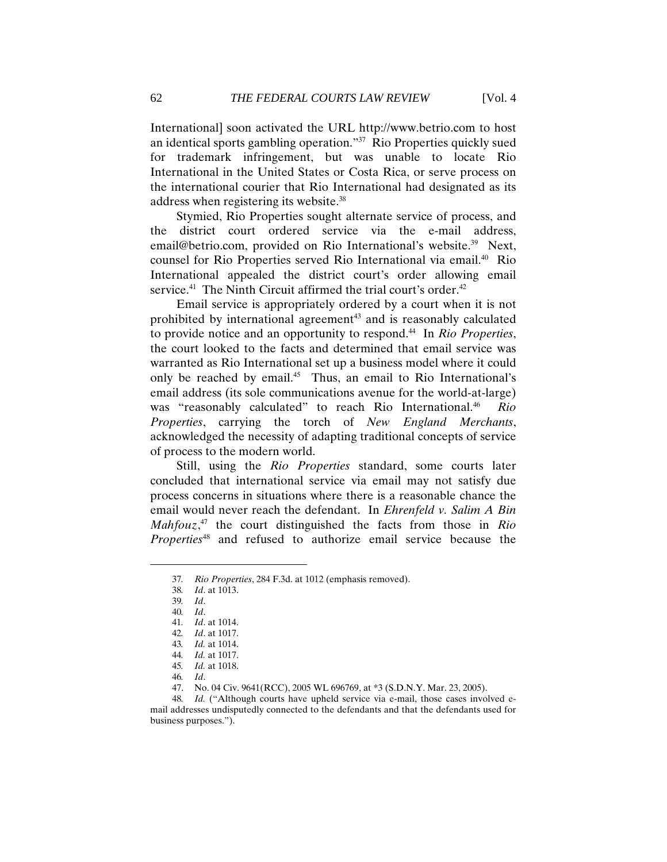International] soon activated the URL http://www.betrio.com to host an identical sports gambling operation."37 Rio Properties quickly sued for trademark infringement, but was unable to locate Rio International in the United States or Costa Rica, or serve process on the international courier that Rio International had designated as its address when registering its website.38

Stymied, Rio Properties sought alternate service of process, and the district court ordered service via the e-mail address, email@betrio.com, provided on Rio International's website.<sup>39</sup> Next, counsel for Rio Properties served Rio International via email.<sup>40</sup> Rio International appealed the district court's order allowing email service.<sup>41</sup> The Ninth Circuit affirmed the trial court's order.<sup>42</sup>

Email service is appropriately ordered by a court when it is not prohibited by international agreement<sup>43</sup> and is reasonably calculated to provide notice and an opportunity to respond.44 In *Rio Properties*, the court looked to the facts and determined that email service was warranted as Rio International set up a business model where it could only be reached by email.45 Thus, an email to Rio International's email address (its sole communications avenue for the world-at-large) was "reasonably calculated" to reach Rio International.<sup>46</sup> Rio *Properties*, carrying the torch of *New England Merchants*, acknowledged the necessity of adapting traditional concepts of service of process to the modern world.

Still, using the *Rio Properties* standard, some courts later concluded that international service via email may not satisfy due process concerns in situations where there is a reasonable chance the email would never reach the defendant. In *Ehrenfeld v. Salim A Bin Mahfouz*, 47 the court distinguished the facts from those in *Rio Properties*48 and refused to authorize email service because the

38*. Id*. at 1013.

<sup>37</sup>*. Rio Properties*, 284 F.3d. at 1012 (emphasis removed).

<sup>39</sup>*. Id*.

<sup>40</sup>*. Id*.

<sup>41</sup>*. Id*. at 1014.

<sup>42</sup>*. Id*. at 1017.

<sup>43</sup>*. Id.* at 1014.

<sup>44</sup>*. Id.* at 1017.

<sup>45</sup>*. Id.* at 1018.

<sup>46</sup>*. Id*.

<sup>47.</sup> No. 04 Civ. 9641(RCC), 2005 WL 696769, at \*3 (S.D.N.Y. Mar. 23, 2005).

<sup>48</sup>*. Id.* ("Although courts have upheld service via e-mail, those cases involved email addresses undisputedly connected to the defendants and that the defendants used for business purposes.").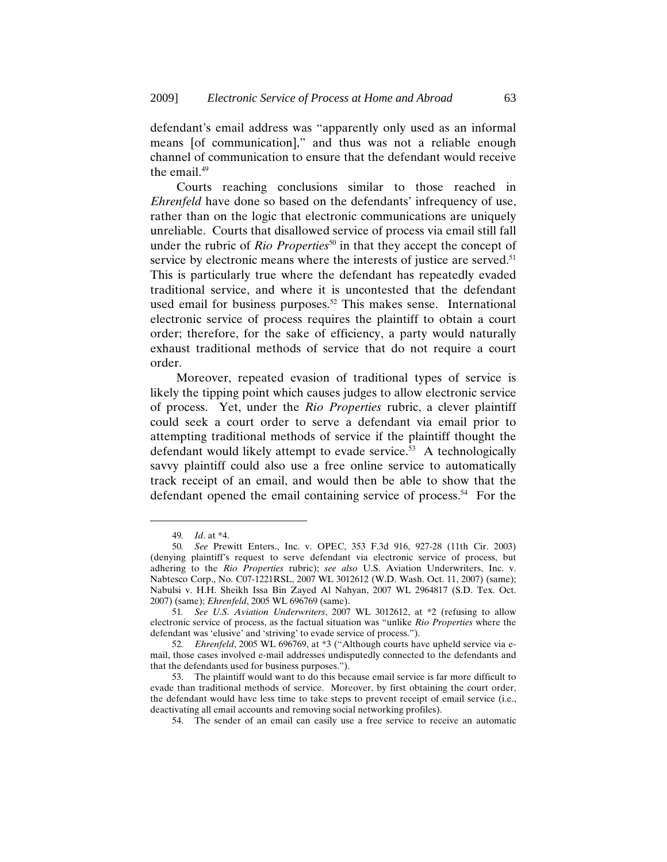defendant's email address was "apparently only used as an informal means [of communication]," and thus was not a reliable enough channel of communication to ensure that the defendant would receive the email.<sup>49</sup>

Courts reaching conclusions similar to those reached in *Ehrenfeld* have done so based on the defendants' infrequency of use, rather than on the logic that electronic communications are uniquely unreliable. Courts that disallowed service of process via email still fall under the rubric of *Rio Properties*<sup>50</sup> in that they accept the concept of service by electronic means where the interests of justice are served.<sup>51</sup> This is particularly true where the defendant has repeatedly evaded traditional service, and where it is uncontested that the defendant used email for business purposes.<sup>52</sup> This makes sense. International electronic service of process requires the plaintiff to obtain a court order; therefore, for the sake of efficiency, a party would naturally exhaust traditional methods of service that do not require a court order.

Moreover, repeated evasion of traditional types of service is likely the tipping point which causes judges to allow electronic service of process. Yet, under the *Rio Properties* rubric, a clever plaintiff could seek a court order to serve a defendant via email prior to attempting traditional methods of service if the plaintiff thought the defendant would likely attempt to evade service.<sup>53</sup> A technologically savvy plaintiff could also use a free online service to automatically track receipt of an email, and would then be able to show that the defendant opened the email containing service of process.<sup>54</sup> For the

<sup>49</sup>*. Id*. at \*4.

<sup>50</sup>*. See* Prewitt Enters., Inc. v. OPEC, 353 F.3d 916, 927-28 (11th Cir. 2003) (denying plaintiff's request to serve defendant via electronic service of process, but adhering to the *Rio Properties* rubric); *see also* U.S. Aviation Underwriters, Inc. v. Nabtesco Corp., No. C07-1221RSL, 2007 WL 3012612 (W.D. Wash. Oct. 11, 2007) (same); Nabulsi v. H.H. Sheikh Issa Bin Zayed Al Nahyan, 2007 WL 2964817 (S.D. Tex. Oct. 2007) (same); *Ehrenfeld*, 2005 WL 696769 (same).

<sup>51</sup>*. See U.S. Aviation Underwriters*, 2007 WL 3012612, at \*2 (refusing to allow electronic service of process, as the factual situation was "unlike *Rio Properties* where the defendant was 'elusive' and 'striving' to evade service of process.").

<sup>52</sup>*. Ehrenfeld*, 2005 WL 696769, at \*3 ("Although courts have upheld service via email, those cases involved e-mail addresses undisputedly connected to the defendants and that the defendants used for business purposes.").

<sup>53.</sup> The plaintiff would want to do this because email service is far more difficult to evade than traditional methods of service. Moreover, by first obtaining the court order, the defendant would have less time to take steps to prevent receipt of email service (i.e., deactivating all email accounts and removing social networking profiles).

<sup>54.</sup> The sender of an email can easily use a free service to receive an automatic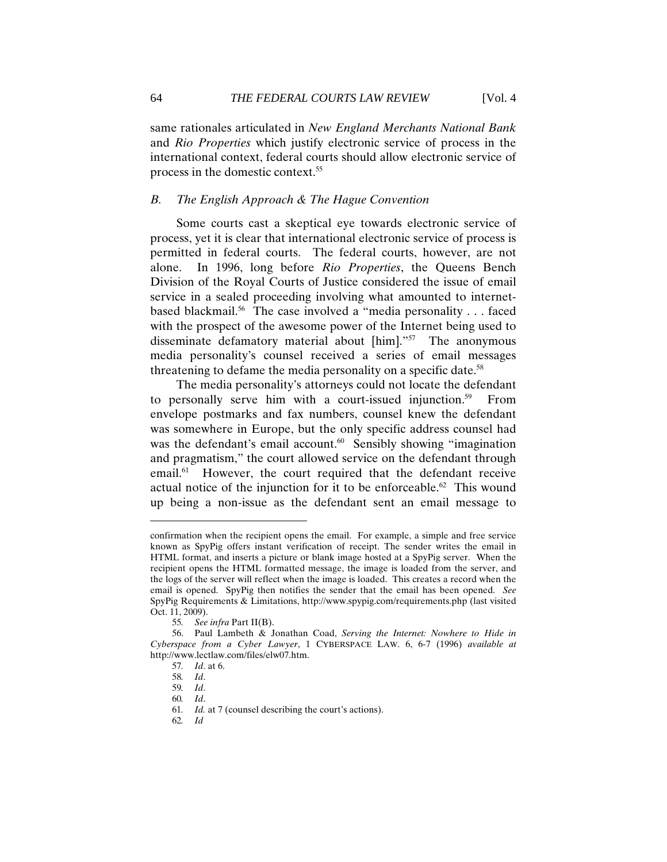same rationales articulated in *New England Merchants National Bank*  and *Rio Properties* which justify electronic service of process in the international context, federal courts should allow electronic service of process in the domestic context.55

#### *B. The English Approach & The Hague Convention*

Some courts cast a skeptical eye towards electronic service of process, yet it is clear that international electronic service of process is permitted in federal courts. The federal courts, however, are not alone. In 1996, long before *Rio Properties*, the Queens Bench Division of the Royal Courts of Justice considered the issue of email service in a sealed proceeding involving what amounted to internetbased blackmail.<sup>56</sup> The case involved a "media personality . . . faced with the prospect of the awesome power of the Internet being used to disseminate defamatory material about [him]."57 The anonymous media personality's counsel received a series of email messages threatening to defame the media personality on a specific date.<sup>58</sup>

The media personality's attorneys could not locate the defendant to personally serve him with a court-issued injunction.<sup>59</sup> From envelope postmarks and fax numbers, counsel knew the defendant was somewhere in Europe, but the only specific address counsel had was the defendant's email account.<sup>60</sup> Sensibly showing "imagination" and pragmatism," the court allowed service on the defendant through email.<sup>61</sup> However, the court required that the defendant receive actual notice of the injunction for it to be enforceable.<sup>62</sup> This wound up being a non-issue as the defendant sent an email message to

confirmation when the recipient opens the email. For example, a simple and free service known as SpyPig offers instant verification of receipt. The sender writes the email in HTML format, and inserts a picture or blank image hosted at a SpyPig server. When the recipient opens the HTML formatted message, the image is loaded from the server, and the logs of the server will reflect when the image is loaded. This creates a record when the email is opened. SpyPig then notifies the sender that the email has been opened. *See* SpyPig Requirements & Limitations, http://www.spypig.com/requirements.php (last visited Oct. 11, 2009).

<sup>55</sup>*. See infra* Part II(B).

<sup>56.</sup> Paul Lambeth & Jonathan Coad, *Serving the Internet: Nowhere to Hide in Cyberspace from a Cyber Lawyer*, 1 CYBERSPACE LAW. 6, 6-7 (1996) *available at* http://www.lectlaw.com/files/elw07.htm.

<sup>57</sup>*. Id*. at 6.

<sup>58</sup>*. Id*.

<sup>59</sup>*. Id*.

<sup>60</sup>*. Id*.

<sup>61</sup>*. Id.* at 7 (counsel describing the court's actions).

<sup>62</sup>*. Id*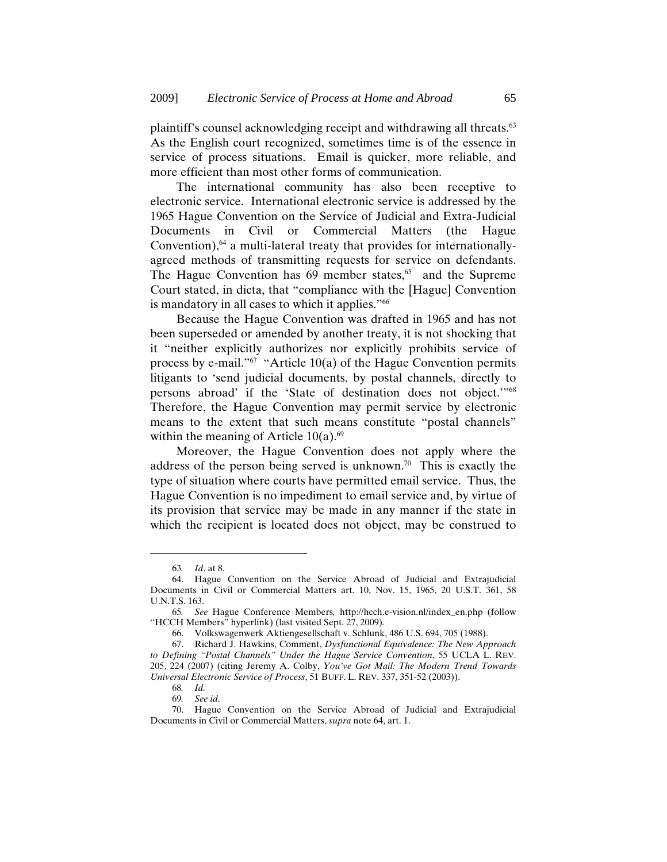plaintiff's counsel acknowledging receipt and withdrawing all threats.63 As the English court recognized, sometimes time is of the essence in service of process situations. Email is quicker, more reliable, and more efficient than most other forms of communication.

The international community has also been receptive to electronic service. International electronic service is addressed by the 1965 Hague Convention on the Service of Judicial and Extra-Judicial Documents in Civil or Commercial Matters (the Hague Convention), $64$  a multi-lateral treaty that provides for internationallyagreed methods of transmitting requests for service on defendants. The Hague Convention has  $69$  member states,<sup>65</sup> and the Supreme Court stated, in dicta, that "compliance with the [Hague] Convention is mandatory in all cases to which it applies."<sup>66</sup>

Because the Hague Convention was drafted in 1965 and has not been superseded or amended by another treaty, it is not shocking that it "neither explicitly authorizes nor explicitly prohibits service of process by e-mail."67 "Article 10(a) of the Hague Convention permits litigants to 'send judicial documents, by postal channels, directly to persons abroad' if the 'State of destination does not object.'"68 Therefore, the Hague Convention may permit service by electronic means to the extent that such means constitute "postal channels" within the meaning of Article  $10(a)$ .<sup>69</sup>

Moreover, the Hague Convention does not apply where the address of the person being served is unknown.<sup>70</sup> This is exactly the type of situation where courts have permitted email service. Thus, the Hague Convention is no impediment to email service and, by virtue of its provision that service may be made in any manner if the state in which the recipient is located does not object, may be construed to

<sup>63</sup>*. Id*. at 8.

<sup>64.</sup> Hague Convention on the Service Abroad of Judicial and Extrajudicial Documents in Civil or Commercial Matters art. 10, Nov. 15, 1965, 20 U.S.T. 361, 58 U.N.T.S. 163.

<sup>65</sup>*. See* Hague Conference Members*,* http://hcch.e-vision.nl/index\_en.php (follow "HCCH Members" hyperlink) (last visited Sept. 27, 2009)*.*

<sup>66.</sup> Volkswagenwerk Aktiengesellschaft v. Schlunk, 486 U.S. 694, 705 (1988).

<sup>67.</sup> Richard J. Hawkins, Comment, *Dysfunctional Equivalence: The New Approach to Defining "Postal Channels" Under the Hague Service Convention*, 55 UCLA L. REV. 205, 224 (2007) (citing Jeremy A. Colby, *You've Got Mail: The Modern Trend Towards Universal Electronic Service of Process*, 51 BUFF. L. REV. 337, 351-52 (2003)).

<sup>68</sup>*. Id.*

<sup>69</sup>*. See id*.

<sup>70.</sup> Hague Convention on the Service Abroad of Judicial and Extrajudicial Documents in Civil or Commercial Matters, *supra* note 64, art. 1.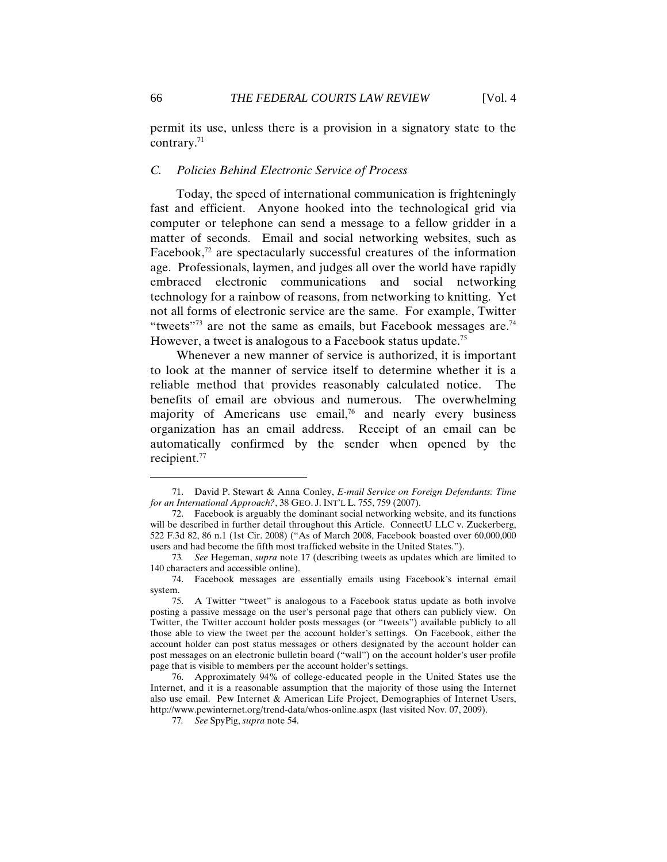permit its use, unless there is a provision in a signatory state to the contrary.71

#### *C. Policies Behind Electronic Service of Process*

Today, the speed of international communication is frighteningly fast and efficient. Anyone hooked into the technological grid via computer or telephone can send a message to a fellow gridder in a matter of seconds. Email and social networking websites, such as Facebook, $72$  are spectacularly successful creatures of the information age. Professionals, laymen, and judges all over the world have rapidly embraced electronic communications and social networking technology for a rainbow of reasons, from networking to knitting. Yet not all forms of electronic service are the same. For example, Twitter "tweets"<sup>73</sup> are not the same as emails, but Facebook messages are.<sup>74</sup> However, a tweet is analogous to a Facebook status update.75

Whenever a new manner of service is authorized, it is important to look at the manner of service itself to determine whether it is a reliable method that provides reasonably calculated notice. The benefits of email are obvious and numerous. The overwhelming majority of Americans use email,<sup>76</sup> and nearly every business organization has an email address. Receipt of an email can be automatically confirmed by the sender when opened by the recipient.77

<sup>71.</sup> David P. Stewart & Anna Conley, *E-mail Service on Foreign Defendants: Time for an International Approach?*, 38 GEO. J. INT'L L. 755, 759 (2007).

<sup>72.</sup> Facebook is arguably the dominant social networking website, and its functions will be described in further detail throughout this Article. ConnectU LLC v. Zuckerberg, 522 F.3d 82, 86 n.1 (1st Cir. 2008) ("As of March 2008, Facebook boasted over 60,000,000 users and had become the fifth most trafficked website in the United States.").

<sup>73</sup>*. See* Hegeman, *supra* note 17 (describing tweets as updates which are limited to 140 characters and accessible online).

<sup>74.</sup> Facebook messages are essentially emails using Facebook's internal email system.

<sup>75.</sup> A Twitter "tweet" is analogous to a Facebook status update as both involve posting a passive message on the user's personal page that others can publicly view. On Twitter, the Twitter account holder posts messages (or "tweets") available publicly to all those able to view the tweet per the account holder's settings. On Facebook, either the account holder can post status messages or others designated by the account holder can post messages on an electronic bulletin board ("wall") on the account holder's user profile page that is visible to members per the account holder's settings.

<sup>76.</sup> Approximately 94% of college-educated people in the United States use the Internet, and it is a reasonable assumption that the majority of those using the Internet also use email. Pew Internet & American Life Project, Demographics of Internet Users, http://www.pewinternet.org/trend-data/whos-online.aspx (last visited Nov. 07, 2009).

<sup>77</sup>*. See* SpyPig, *supra* note 54.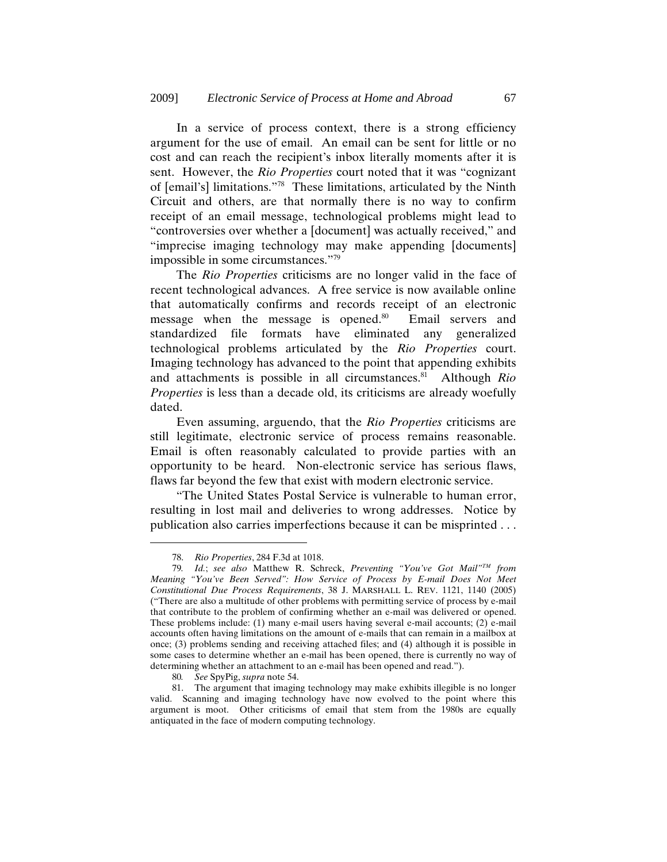In a service of process context, there is a strong efficiency argument for the use of email. An email can be sent for little or no cost and can reach the recipient's inbox literally moments after it is sent. However, the *Rio Properties* court noted that it was "cognizant of [email's] limitations."78 These limitations, articulated by the Ninth Circuit and others, are that normally there is no way to confirm receipt of an email message, technological problems might lead to "controversies over whether a [document] was actually received," and "imprecise imaging technology may make appending [documents] impossible in some circumstances."79

The *Rio Properties* criticisms are no longer valid in the face of recent technological advances. A free service is now available online that automatically confirms and records receipt of an electronic message when the message is opened.<sup>80</sup> Email servers and standardized file formats have eliminated any generalized technological problems articulated by the *Rio Properties* court. Imaging technology has advanced to the point that appending exhibits and attachments is possible in all circumstances.<sup>81</sup> Although *Rio Properties* is less than a decade old, its criticisms are already woefully dated.

Even assuming, arguendo, that the *Rio Properties* criticisms are still legitimate, electronic service of process remains reasonable. Email is often reasonably calculated to provide parties with an opportunity to be heard. Non-electronic service has serious flaws, flaws far beyond the few that exist with modern electronic service.

"The United States Postal Service is vulnerable to human error, resulting in lost mail and deliveries to wrong addresses. Notice by publication also carries imperfections because it can be misprinted . . .

<sup>78.</sup> *Rio Properties*, 284 F.3d at 1018.

<sup>79</sup>*. Id.*; *see also* Matthew R. Schreck, *Preventing "You've Got Mail"TM from Meaning "You've Been Served": How Service of Process by E-mail Does Not Meet Constitutional Due Process Requirements*, 38 J. MARSHALL L. REV. 1121, 1140 (2005) ("There are also a multitude of other problems with permitting service of process by e-mail that contribute to the problem of confirming whether an e-mail was delivered or opened. These problems include: (1) many e-mail users having several e-mail accounts; (2) e-mail accounts often having limitations on the amount of e-mails that can remain in a mailbox at once; (3) problems sending and receiving attached files; and (4) although it is possible in some cases to determine whether an e-mail has been opened, there is currently no way of determining whether an attachment to an e-mail has been opened and read.").

<sup>80</sup>*. See* SpyPig, *supra* note 54.

<sup>81.</sup> The argument that imaging technology may make exhibits illegible is no longer valid. Scanning and imaging technology have now evolved to the point where this argument is moot. Other criticisms of email that stem from the 1980s are equally antiquated in the face of modern computing technology.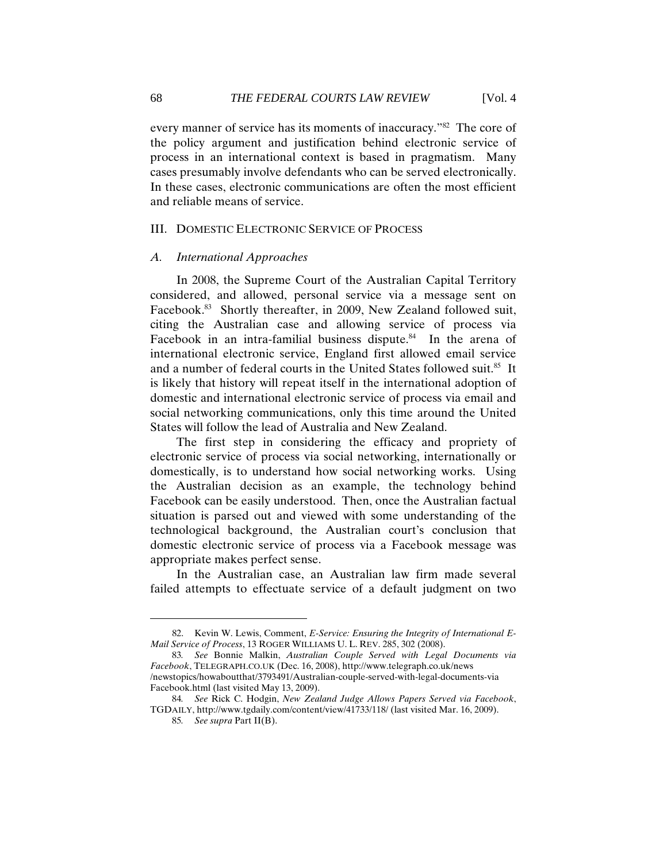every manner of service has its moments of inaccuracy."82 The core of the policy argument and justification behind electronic service of process in an international context is based in pragmatism. Many cases presumably involve defendants who can be served electronically. In these cases, electronic communications are often the most efficient and reliable means of service.

#### III. DOMESTIC ELECTRONIC SERVICE OF PROCESS

#### *A. International Approaches*

In 2008, the Supreme Court of the Australian Capital Territory considered, and allowed, personal service via a message sent on Facebook.<sup>83</sup> Shortly thereafter, in 2009, New Zealand followed suit, citing the Australian case and allowing service of process via Facebook in an intra-familial business dispute. $84$  In the arena of international electronic service, England first allowed email service and a number of federal courts in the United States followed suit.<sup>85</sup> It is likely that history will repeat itself in the international adoption of domestic and international electronic service of process via email and social networking communications, only this time around the United States will follow the lead of Australia and New Zealand.

The first step in considering the efficacy and propriety of electronic service of process via social networking, internationally or domestically, is to understand how social networking works. Using the Australian decision as an example, the technology behind Facebook can be easily understood. Then, once the Australian factual situation is parsed out and viewed with some understanding of the technological background, the Australian court's conclusion that domestic electronic service of process via a Facebook message was appropriate makes perfect sense.

In the Australian case, an Australian law firm made several failed attempts to effectuate service of a default judgment on two

<sup>82.</sup> Kevin W. Lewis, Comment, *E-Service: Ensuring the Integrity of International E-Mail Service of Process*, 13 ROGER WILLIAMS U. L. REV. 285, 302 (2008).

<sup>83</sup>*. See* Bonnie Malkin, *Australian Couple Served with Legal Documents via Facebook*, TELEGRAPH.CO.UK (Dec. 16, 2008), http://www.telegraph.co.uk/news /newstopics/howaboutthat/3793491/Australian-couple-served-with-legal-documents-via Facebook.html (last visited May 13, 2009).

<sup>84</sup>*. See* Rick C. Hodgin, *New Zealand Judge Allows Papers Served via Facebook*, TGDAILY, http://www.tgdaily.com/content/view/41733/118/ (last visited Mar. 16, 2009).

<sup>85</sup>*. See supra* Part II(B).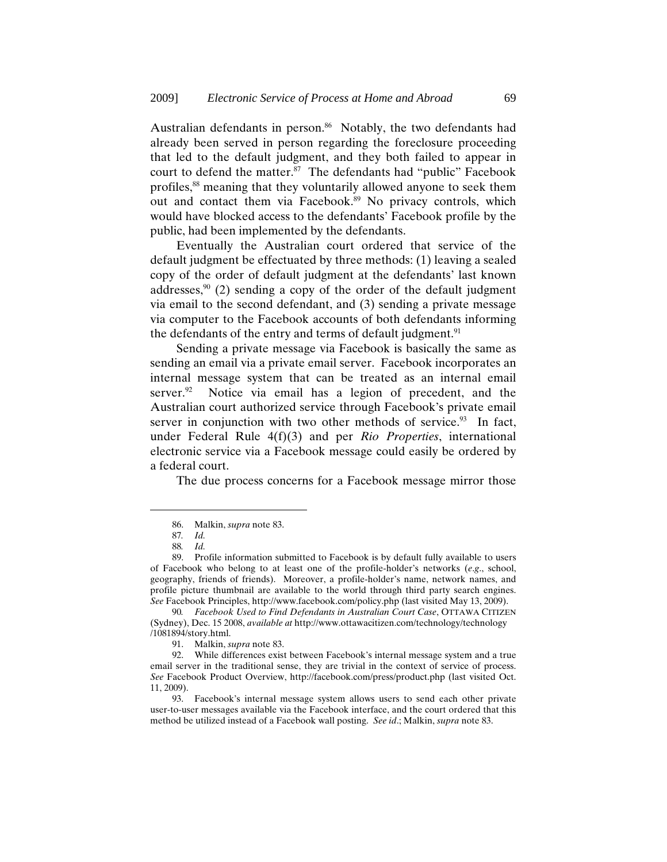Australian defendants in person.<sup>86</sup> Notably, the two defendants had already been served in person regarding the foreclosure proceeding that led to the default judgment, and they both failed to appear in court to defend the matter.<sup>87</sup> The defendants had "public" Facebook profiles,88 meaning that they voluntarily allowed anyone to seek them out and contact them via Facebook.<sup>89</sup> No privacy controls, which would have blocked access to the defendants' Facebook profile by the public, had been implemented by the defendants.

Eventually the Australian court ordered that service of the default judgment be effectuated by three methods: (1) leaving a sealed copy of the order of default judgment at the defendants' last known addresses,  $90$  (2) sending a copy of the order of the default judgment via email to the second defendant, and (3) sending a private message via computer to the Facebook accounts of both defendants informing the defendants of the entry and terms of default judgment.<sup>91</sup>

Sending a private message via Facebook is basically the same as sending an email via a private email server. Facebook incorporates an internal message system that can be treated as an internal email server. $92$  Notice via email has a legion of precedent, and the Australian court authorized service through Facebook's private email server in conjunction with two other methods of service. $93$  In fact, under Federal Rule 4(f)(3) and per *Rio Properties*, international electronic service via a Facebook message could easily be ordered by a federal court.

The due process concerns for a Facebook message mirror those

<sup>86.</sup> Malkin, *supra* note 83.

<sup>87</sup>*. Id.*

<sup>88</sup>*. Id.*

<sup>89.</sup> Profile information submitted to Facebook is by default fully available to users of Facebook who belong to at least one of the profile-holder's networks (*e*.*g*., school, geography, friends of friends). Moreover, a profile-holder's name, network names, and profile picture thumbnail are available to the world through third party search engines. *See* Facebook Principles, http://www.facebook.com/policy.php (last visited May 13, 2009).

<sup>90</sup>*. Facebook Used to Find Defendants in Australian Court Case*, OTTAWA CITIZEN (Sydney), Dec. 15 2008, *available at* http://www.ottawacitizen.com/technology/technology /1081894/story.html.

<sup>91.</sup> Malkin, *supra* note 83.

<sup>92.</sup> While differences exist between Facebook's internal message system and a true email server in the traditional sense, they are trivial in the context of service of process. *See* Facebook Product Overview, http://facebook.com/press/product.php (last visited Oct. 11, 2009).

<sup>93.</sup> Facebook's internal message system allows users to send each other private user-to-user messages available via the Facebook interface, and the court ordered that this method be utilized instead of a Facebook wall posting. *See id*.; Malkin, *supra* note 83.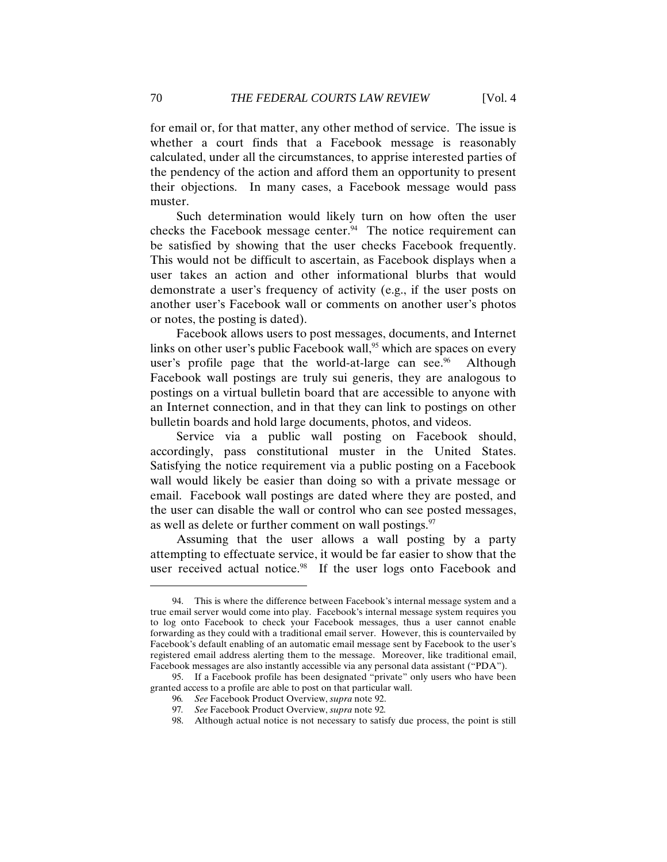for email or, for that matter, any other method of service. The issue is whether a court finds that a Facebook message is reasonably calculated, under all the circumstances, to apprise interested parties of the pendency of the action and afford them an opportunity to present their objections. In many cases, a Facebook message would pass muster.

Such determination would likely turn on how often the user checks the Facebook message center. $94$  The notice requirement can be satisfied by showing that the user checks Facebook frequently. This would not be difficult to ascertain, as Facebook displays when a user takes an action and other informational blurbs that would demonstrate a user's frequency of activity (e.g., if the user posts on another user's Facebook wall or comments on another user's photos or notes, the posting is dated).

Facebook allows users to post messages, documents, and Internet links on other user's public Facebook wall,<sup>95</sup> which are spaces on every user's profile page that the world-at-large can see.<sup>96</sup> Although Facebook wall postings are truly sui generis, they are analogous to postings on a virtual bulletin board that are accessible to anyone with an Internet connection, and in that they can link to postings on other bulletin boards and hold large documents, photos, and videos.

Service via a public wall posting on Facebook should, accordingly, pass constitutional muster in the United States. Satisfying the notice requirement via a public posting on a Facebook wall would likely be easier than doing so with a private message or email. Facebook wall postings are dated where they are posted, and the user can disable the wall or control who can see posted messages, as well as delete or further comment on wall postings.<sup>97</sup>

Assuming that the user allows a wall posting by a party attempting to effectuate service, it would be far easier to show that the user received actual notice.<sup>98</sup> If the user logs onto Facebook and

<sup>94.</sup> This is where the difference between Facebook's internal message system and a true email server would come into play. Facebook's internal message system requires you to log onto Facebook to check your Facebook messages, thus a user cannot enable forwarding as they could with a traditional email server. However, this is countervailed by Facebook's default enabling of an automatic email message sent by Facebook to the user's registered email address alerting them to the message. Moreover, like traditional email, Facebook messages are also instantly accessible via any personal data assistant ("PDA").

<sup>95.</sup> If a Facebook profile has been designated "private" only users who have been granted access to a profile are able to post on that particular wall.

<sup>96</sup>*. See* Facebook Product Overview, *supra* note 92.

<sup>97</sup>*. See* Facebook Product Overview, *supra* note 92*.*

<sup>98.</sup> Although actual notice is not necessary to satisfy due process, the point is still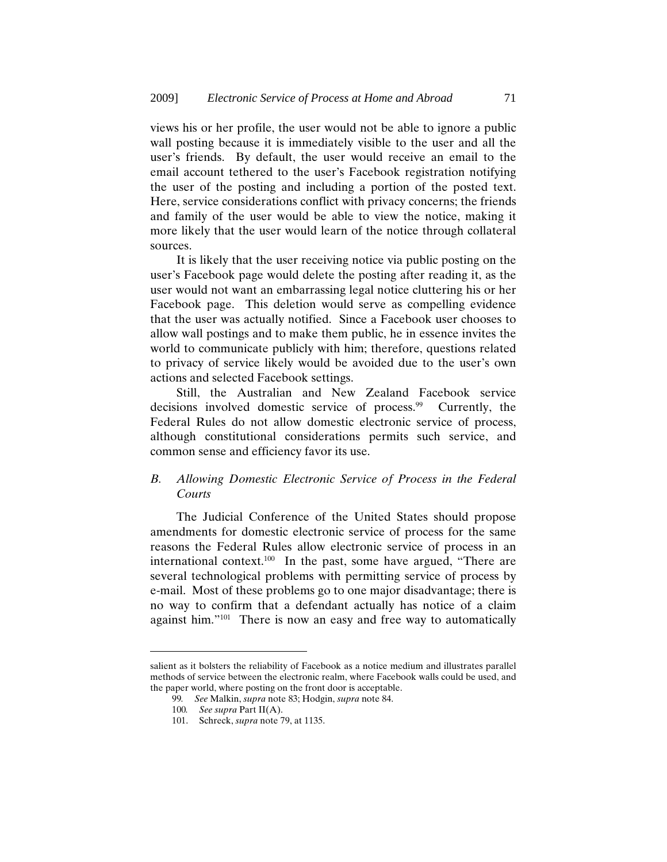views his or her profile, the user would not be able to ignore a public wall posting because it is immediately visible to the user and all the user's friends. By default, the user would receive an email to the email account tethered to the user's Facebook registration notifying the user of the posting and including a portion of the posted text. Here, service considerations conflict with privacy concerns; the friends and family of the user would be able to view the notice, making it more likely that the user would learn of the notice through collateral sources.

It is likely that the user receiving notice via public posting on the user's Facebook page would delete the posting after reading it, as the user would not want an embarrassing legal notice cluttering his or her Facebook page. This deletion would serve as compelling evidence that the user was actually notified. Since a Facebook user chooses to allow wall postings and to make them public, he in essence invites the world to communicate publicly with him; therefore, questions related to privacy of service likely would be avoided due to the user's own actions and selected Facebook settings.

Still, the Australian and New Zealand Facebook service decisions involved domestic service of process.<sup>99</sup> Currently, the Federal Rules do not allow domestic electronic service of process, although constitutional considerations permits such service, and common sense and efficiency favor its use.

#### *B. Allowing Domestic Electronic Service of Process in the Federal Courts*

The Judicial Conference of the United States should propose amendments for domestic electronic service of process for the same reasons the Federal Rules allow electronic service of process in an international context.<sup>100</sup> In the past, some have argued, "There are several technological problems with permitting service of process by e-mail. Most of these problems go to one major disadvantage; there is no way to confirm that a defendant actually has notice of a claim against him."<sup>101</sup> There is now an easy and free way to automatically

salient as it bolsters the reliability of Facebook as a notice medium and illustrates parallel methods of service between the electronic realm, where Facebook walls could be used, and the paper world, where posting on the front door is acceptable.

<sup>99</sup>*. See* Malkin, *supra* note 83; Hodgin, *supra* note 84.

<sup>100</sup>*. See supra* Part II(A).

<sup>101.</sup> Schreck, *supra* note 79, at 1135.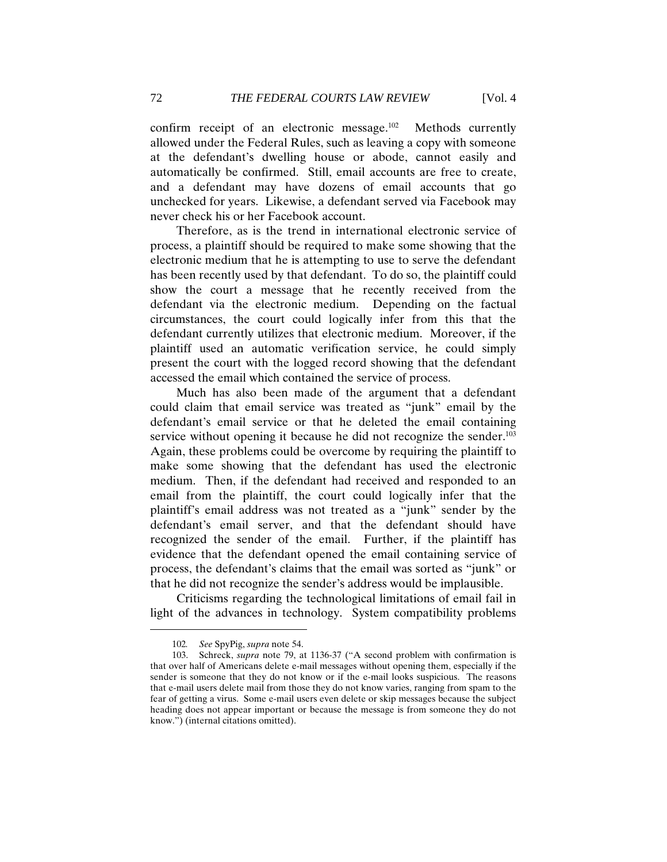confirm receipt of an electronic message.<sup>102</sup> Methods currently allowed under the Federal Rules, such as leaving a copy with someone at the defendant's dwelling house or abode, cannot easily and automatically be confirmed. Still, email accounts are free to create, and a defendant may have dozens of email accounts that go unchecked for years. Likewise, a defendant served via Facebook may never check his or her Facebook account.

Therefore, as is the trend in international electronic service of process, a plaintiff should be required to make some showing that the electronic medium that he is attempting to use to serve the defendant has been recently used by that defendant. To do so, the plaintiff could show the court a message that he recently received from the defendant via the electronic medium. Depending on the factual circumstances, the court could logically infer from this that the defendant currently utilizes that electronic medium. Moreover, if the plaintiff used an automatic verification service, he could simply present the court with the logged record showing that the defendant accessed the email which contained the service of process.

Much has also been made of the argument that a defendant could claim that email service was treated as "junk" email by the defendant's email service or that he deleted the email containing service without opening it because he did not recognize the sender.<sup>103</sup> Again, these problems could be overcome by requiring the plaintiff to make some showing that the defendant has used the electronic medium. Then, if the defendant had received and responded to an email from the plaintiff, the court could logically infer that the plaintiff's email address was not treated as a "junk" sender by the defendant's email server, and that the defendant should have recognized the sender of the email. Further, if the plaintiff has evidence that the defendant opened the email containing service of process, the defendant's claims that the email was sorted as "junk" or that he did not recognize the sender's address would be implausible.

Criticisms regarding the technological limitations of email fail in light of the advances in technology. System compatibility problems

<sup>102</sup>*. See* SpyPig, *supra* note 54.

<sup>103.</sup> Schreck, *supra* note 79, at 1136-37 ("A second problem with confirmation is that over half of Americans delete e-mail messages without opening them, especially if the sender is someone that they do not know or if the e-mail looks suspicious. The reasons that e-mail users delete mail from those they do not know varies, ranging from spam to the fear of getting a virus. Some e-mail users even delete or skip messages because the subject heading does not appear important or because the message is from someone they do not know.") (internal citations omitted).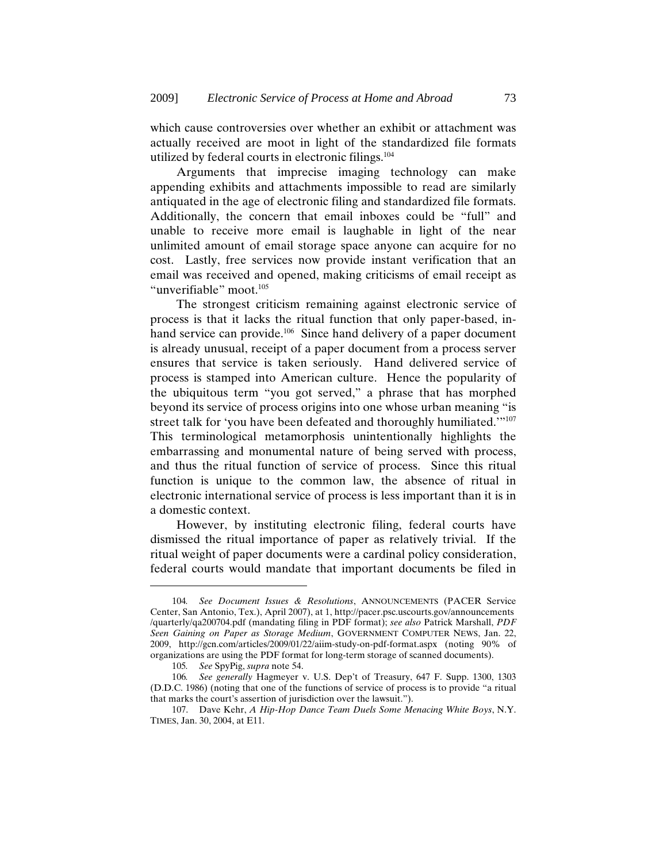which cause controversies over whether an exhibit or attachment was actually received are moot in light of the standardized file formats utilized by federal courts in electronic filings.104

Arguments that imprecise imaging technology can make appending exhibits and attachments impossible to read are similarly antiquated in the age of electronic filing and standardized file formats. Additionally, the concern that email inboxes could be "full" and unable to receive more email is laughable in light of the near unlimited amount of email storage space anyone can acquire for no cost. Lastly, free services now provide instant verification that an email was received and opened, making criticisms of email receipt as "unverifiable" moot.<sup>105</sup>

The strongest criticism remaining against electronic service of process is that it lacks the ritual function that only paper-based, inhand service can provide.<sup>106</sup> Since hand delivery of a paper document is already unusual, receipt of a paper document from a process server ensures that service is taken seriously. Hand delivered service of process is stamped into American culture. Hence the popularity of the ubiquitous term "you got served," a phrase that has morphed beyond its service of process origins into one whose urban meaning "is street talk for 'you have been defeated and thoroughly humiliated.'"107 This terminological metamorphosis unintentionally highlights the embarrassing and monumental nature of being served with process, and thus the ritual function of service of process. Since this ritual function is unique to the common law, the absence of ritual in electronic international service of process is less important than it is in a domestic context.

However, by instituting electronic filing, federal courts have dismissed the ritual importance of paper as relatively trivial. If the ritual weight of paper documents were a cardinal policy consideration, federal courts would mandate that important documents be filed in

<sup>104</sup>*. See Document Issues & Resolutions*, ANNOUNCEMENTS (PACER Service Center, San Antonio, Tex.), April 2007), at 1, http://pacer.psc.uscourts.gov/announcements /quarterly/qa200704.pdf (mandating filing in PDF format); *see also* Patrick Marshall, *PDF Seen Gaining on Paper as Storage Medium*, GOVERNMENT COMPUTER NEWS, Jan. 22, 2009, http://gcn.com/articles/2009/01/22/aiim-study-on-pdf-format.aspx (noting 90% of organizations are using the PDF format for long-term storage of scanned documents).

<sup>105</sup>*. See* SpyPig, *supra* note 54.

<sup>106</sup>*. See generally* Hagmeyer v. U.S. Dep't of Treasury, 647 F. Supp. 1300, 1303 (D.D.C. 1986) (noting that one of the functions of service of process is to provide "a ritual that marks the court's assertion of jurisdiction over the lawsuit.").

<sup>107.</sup> Dave Kehr, *A Hip-Hop Dance Team Duels Some Menacing White Boys*, N.Y. TIMES, Jan. 30, 2004, at E11.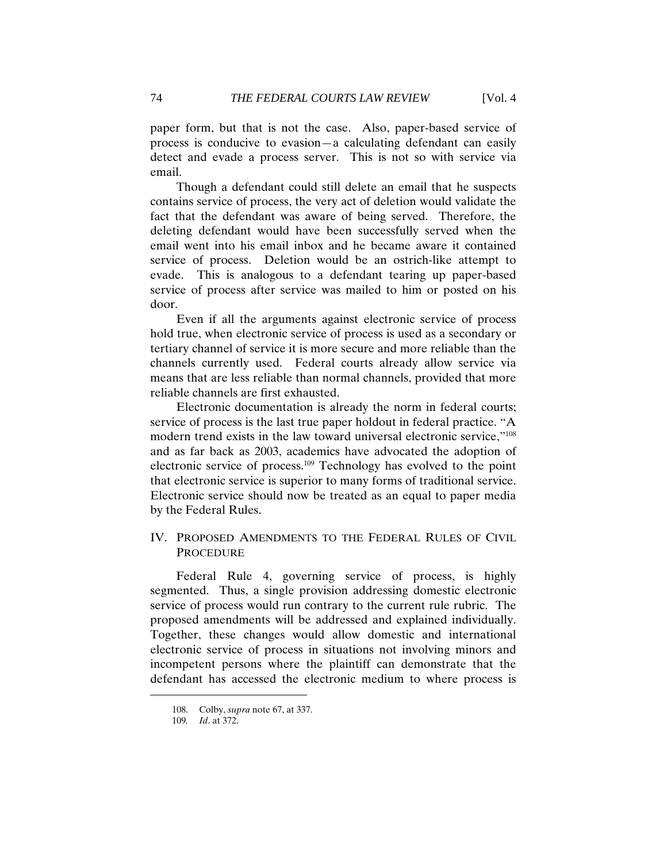paper form, but that is not the case. Also, paper-based service of process is conducive to evasion—a calculating defendant can easily detect and evade a process server. This is not so with service via email.

Though a defendant could still delete an email that he suspects contains service of process, the very act of deletion would validate the fact that the defendant was aware of being served. Therefore, the deleting defendant would have been successfully served when the email went into his email inbox and he became aware it contained service of process. Deletion would be an ostrich-like attempt to evade. This is analogous to a defendant tearing up paper-based service of process after service was mailed to him or posted on his door.

Even if all the arguments against electronic service of process hold true, when electronic service of process is used as a secondary or tertiary channel of service it is more secure and more reliable than the channels currently used. Federal courts already allow service via means that are less reliable than normal channels, provided that more reliable channels are first exhausted.

Electronic documentation is already the norm in federal courts; service of process is the last true paper holdout in federal practice. "A modern trend exists in the law toward universal electronic service,"108 and as far back as 2003, academics have advocated the adoption of electronic service of process.109 Technology has evolved to the point that electronic service is superior to many forms of traditional service. Electronic service should now be treated as an equal to paper media by the Federal Rules.

#### IV. PROPOSED AMENDMENTS TO THE FEDERAL RULES OF CIVIL PROCEDURE

Federal Rule 4, governing service of process, is highly segmented. Thus, a single provision addressing domestic electronic service of process would run contrary to the current rule rubric. The proposed amendments will be addressed and explained individually. Together, these changes would allow domestic and international electronic service of process in situations not involving minors and incompetent persons where the plaintiff can demonstrate that the defendant has accessed the electronic medium to where process is

<sup>108.</sup> Colby, *supra* note 67, at 337.

<sup>109</sup>*. Id*. at 372.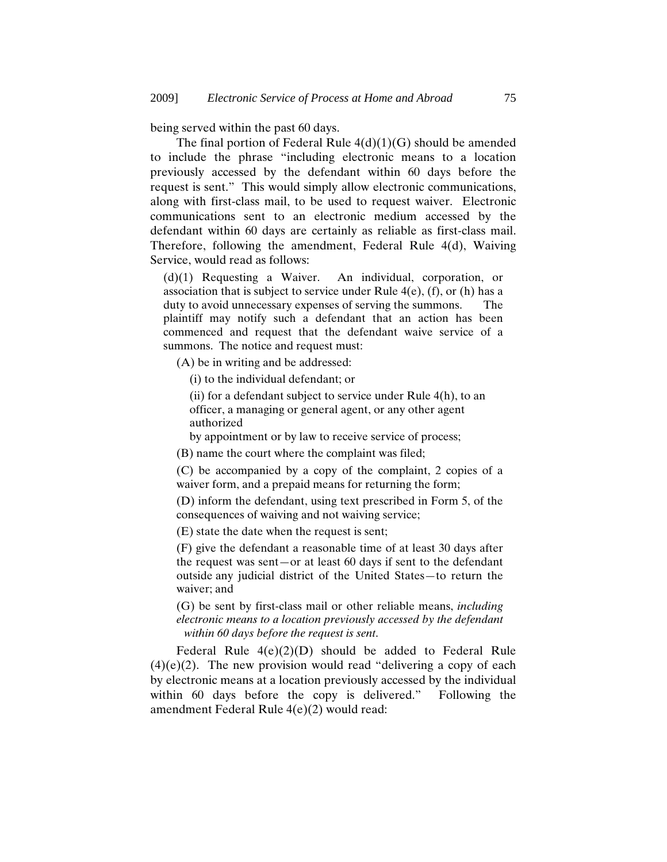being served within the past 60 days.

The final portion of Federal Rule  $4(d)(1)(G)$  should be amended to include the phrase "including electronic means to a location previously accessed by the defendant within 60 days before the request is sent." This would simply allow electronic communications, along with first-class mail, to be used to request waiver. Electronic communications sent to an electronic medium accessed by the defendant within 60 days are certainly as reliable as first-class mail. Therefore, following the amendment, Federal Rule 4(d), Waiving Service, would read as follows:

(d)(1) Requesting a Waiver. An individual, corporation, or association that is subject to service under Rule  $4(e)$ , (f), or (h) has a duty to avoid unnecessary expenses of serving the summons. The plaintiff may notify such a defendant that an action has been commenced and request that the defendant waive service of a summons. The notice and request must:

(A) be in writing and be addressed:

(i) to the individual defendant; or

(ii) for a defendant subject to service under Rule 4(h), to an officer, a managing or general agent, or any other agent authorized

by appointment or by law to receive service of process;

(B) name the court where the complaint was filed;

(C) be accompanied by a copy of the complaint, 2 copies of a waiver form, and a prepaid means for returning the form;

(D) inform the defendant, using text prescribed in Form 5, of the consequences of waiving and not waiving service;

(E) state the date when the request is sent;

(F) give the defendant a reasonable time of at least 30 days after the request was sent—or at least 60 days if sent to the defendant outside any judicial district of the United States—to return the waiver; and

(G) be sent by first-class mail or other reliable means, *including electronic means to a location previously accessed by the defendant within 60 days before the request is sent*.

Federal Rule 4(e)(2)(D) should be added to Federal Rule  $(4)(e)(2)$ . The new provision would read "delivering a copy of each by electronic means at a location previously accessed by the individual within 60 days before the copy is delivered." Following the amendment Federal Rule 4(e)(2) would read: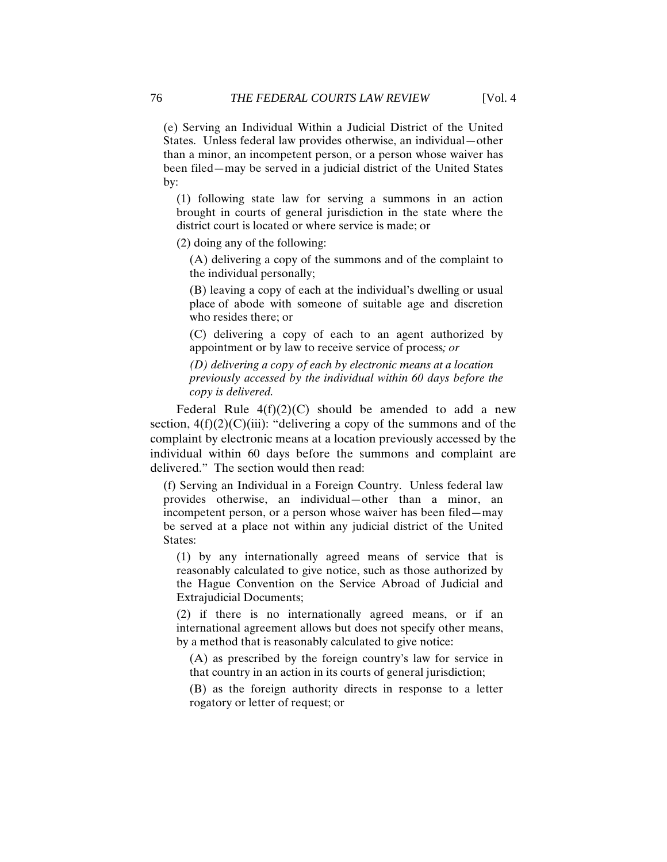(e) Serving an Individual Within a Judicial District of the United States. Unless federal law provides otherwise, an individual—other than a minor, an incompetent person, or a person whose waiver has been filed—may be served in a judicial district of the United States by:

(1) following state law for serving a summons in an action brought in courts of general jurisdiction in the state where the district court is located or where service is made; or

(2) doing any of the following:

(A) delivering a copy of the summons and of the complaint to the individual personally;

(B) leaving a copy of each at the individual's dwelling or usual place of abode with someone of suitable age and discretion who resides there; or

(C) delivering a copy of each to an agent authorized by appointment or by law to receive service of process*; or*

*(D) delivering a copy of each by electronic means at a location previously accessed by the individual within 60 days before the copy is delivered.* 

Federal Rule  $4(f)(2)(C)$  should be amended to add a new section,  $4(f)(2)(C)(iii)$ : "delivering a copy of the summons and of the complaint by electronic means at a location previously accessed by the individual within 60 days before the summons and complaint are delivered." The section would then read:

(f) Serving an Individual in a Foreign Country. Unless federal law provides otherwise, an individual—other than a minor, an incompetent person, or a person whose waiver has been filed—may be served at a place not within any judicial district of the United States:

(1) by any internationally agreed means of service that is reasonably calculated to give notice, such as those authorized by the Hague Convention on the Service Abroad of Judicial and Extrajudicial Documents;

(2) if there is no internationally agreed means, or if an international agreement allows but does not specify other means, by a method that is reasonably calculated to give notice:

(A) as prescribed by the foreign country's law for service in that country in an action in its courts of general jurisdiction;

(B) as the foreign authority directs in response to a letter rogatory or letter of request; or